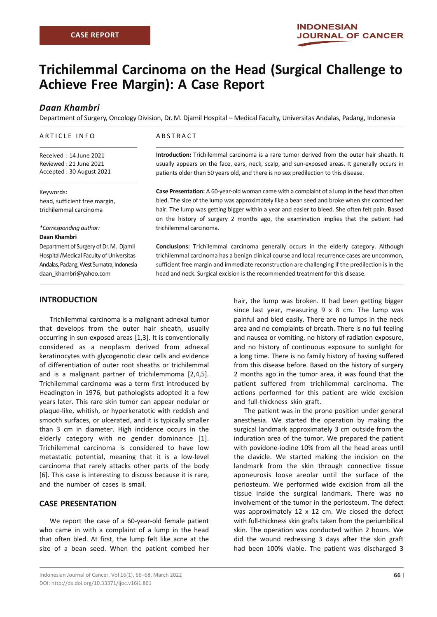# **Trichilemmal Carcinoma on the Head (Surgical Challenge to Achieve Free Margin): A Case Report**

# *Daan Khambri*

Department of Surgery, Oncology Division, Dr. M. Djamil Hospital – Medical Faculty, Universitas Andalas, Padang, Indonesia

#### ARTICLE INFO

Received : 14 June 2021 Reviewed : 21 June 2021 Accepted : 30 August 2021

#### Keywords:

head, sufficient free margin, trichilemmal carcinoma

*\*Corresponding author:*

#### **Daan Khambri**

Department of Surgery of Dr. M. Djamil Hospital/Medical Faculty of Universitas Andalas, Padang, West Sumatra, Indonesia daan\_khambri@yahoo.com

#### ABSTRACT

**Introduction:** Trichilemmal carcinoma is a rare tumor derived from the outer hair sheath. It usually appears on the face, ears, neck, scalp, and sun-exposed areas. It generally occurs in patients older than 50 years old, and there is no sex predilection to this disease.

**Case Presentation:** A 60-year-old woman came with a complaint of a lump in the head that often bled. The size of the lump was approximately like a bean seed and broke when she combed her hair. The lump was getting bigger within a year and easier to bleed. She often felt pain. Based on the history of surgery 2 months ago, the examination implies that the patient had trichilemmal carcinoma.

**Conclusions:** Trichilemmal carcinoma generally occurs in the elderly category. Although trichilemmal carcinoma has a benign clinical course and local recurrence cases are uncommon, sufficient free margin and immediate reconstruction are challenging if the predilection is in the head and neck. Surgical excision is the recommended treatment for this disease.

# **INTRODUCTION**

Trichilemmal carcinoma is a malignant adnexal tumor that develops from the outer hair sheath, usually occurring in sun-exposed areas [1,3]. It is conventionally considered as a neoplasm derived from adnexal keratinocytes with glycogenotic clear cells and evidence of differentiation of outer root sheaths or trichilemmal and is a malignant partner of trichilemmoma [2,4,5]. Trichilemmal carcinoma was a term first introduced by Headington in 1976, but pathologists adopted it a few years later. This rare skin tumor can appear nodular or plaque-like, whitish, or hyperkeratotic with reddish and smooth surfaces, or ulcerated, and it is typically smaller than 3 cm in diameter. High incidence occurs in the elderly category with no gender dominance [1]. Trichilemmal carcinoma is considered to have low metastatic potential, meaning that it is a low-level carcinoma that rarely attacks other parts of the body [6]. This case is interesting to discuss because it is rare, and the number of cases is small.

## **CASE PRESENTATION**

We report the case of a 60-year-old female patient who came in with a complaint of a lump in the head that often bled. At first, the lump felt like acne at the size of a bean seed. When the patient combed her

hair, the lump was broken. It had been getting bigger since last year, measuring  $9 \times 8$  cm. The lump was painful and bled easily. There are no lumps in the neck area and no complaints of breath. There is no full feeling and nausea or vomiting, no history of radiation exposure, and no history of continuous exposure to sunlight for a long time. There is no family history of having suffered from this disease before. Based on the history of surgery 2 months ago in the tumor area, it was found that the patient suffered from trichilemmal carcinoma. The actions performed for this patient are wide excision and full-thickness skin graft.

The patient was in the prone position under general anesthesia. We started the operation by making the surgical landmark approximately 3 cm outside from the induration area of the tumor. We prepared the patient with povidone-iodine 10% from all the head areas until the clavicle. We started making the incision on the landmark from the skin through connective tissue aponeurosis loose areolar until the surface of the periosteum. We performed wide excision from all the tissue inside the surgical landmark. There was no involvement of the tumor in the periosteum. The defect was approximately 12 x 12 cm. We closed the defect with full-thickness skin grafts taken from the periumbilical skin. The operation was conducted within 2 hours. We did the wound redressing 3 days after the skin graft had been 100% viable. The patient was discharged 3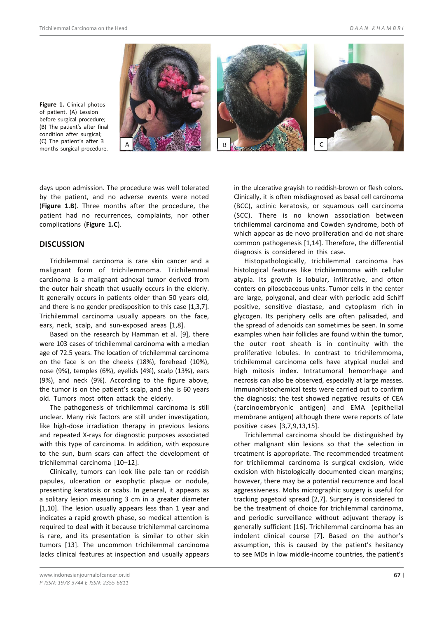

**Figure 1.** Clinical photos of patient. (A) Lession before surgical procedure; (B) The patient's after final condition after surgical; (C) The patient's after 3 months surgical procedure.

days upon admission. The procedure was well tolerated by the patient, and no adverse events were noted (**Figure 1.B**). Three months after the procedure, the patient had no recurrences, complaints, nor other complications (**Figure 1.C**).

## **DISCUSSION**

Trichilemmal carcinoma is rare skin cancer and a malignant form of trichilemmoma. Trichilemmal carcinoma is a malignant adnexal tumor derived from the outer hair sheath that usually occurs in the elderly. It generally occurs in patients older than 50 years old, and there is no gender predisposition to this case [1,3,7]. Trichilemmal carcinoma usually appears on the face, ears, neck, scalp, and sun-exposed areas [1,8].

Based on the research by Hamman et al. [9], there were 103 cases of trichilemmal carcinoma with a median age of 72.5 years. The location of trichilemmal carcinoma on the face is on the cheeks (18%), forehead (10%), nose (9%), temples (6%), eyelids (4%), scalp (13%), ears (9%), and neck (9%). According to the figure above, the tumor is on the patient's scalp, and she is 60 years old. Tumors most often attack the elderly.

The pathogenesis of trichilemmal carcinoma is still unclear. Many risk factors are still under investigation, like high-dose irradiation therapy in previous lesions and repeated X-rays for diagnostic purposes associated with this type of carcinoma. In addition, with exposure to the sun, burn scars can affect the development of trichilemmal carcinoma [10–12].

Clinically, tumors can look like pale tan or reddish papules, ulceration or exophytic plaque or nodule, presenting keratosis or scabs. In general, it appears as a solitary lesion measuring 3 cm in a greater diameter [1,10]. The lesion usually appears less than 1 year and indicates a rapid growth phase, so medical attention is required to deal with it because trichilemmal carcinoma is rare, and its presentation is similar to other skin tumors [13]. The uncommon trichilemmal carcinoma lacks clinical features at inspection and usually appears

in the ulcerative grayish to reddish-brown or flesh colors. Clinically, it is often misdiagnosed as basal cell carcinoma (BCC), actinic keratosis, or squamous cell carcinoma (SCC). There is no known association between trichilemmal carcinoma and Cowden syndrome, both of which appear as de novo proliferation and do not share common pathogenesis [1,14]. Therefore, the differential diagnosis is considered in this case.

Histopathologically, trichilemmal carcinoma has histological features like trichilemmoma with cellular atypia. Its growth is lobular, infiltrative, and often centers on pilosebaceous units. Tumor cells in the center are large, polygonal, and clear with periodic acid Schiff positive, sensitive diastase, and cytoplasm rich in glycogen. Its periphery cells are often palisaded, and the spread of adenoids can sometimes be seen. In some examples when hair follicles are found within the tumor, the outer root sheath is in continuity with the proliferative lobules. In contrast to trichilemmoma, trichilemmal carcinoma cells have atypical nuclei and high mitosis index. Intratumoral hemorrhage and necrosis can also be observed, especially at large masses. Immunohistochemical tests were carried out to confirm the diagnosis; the test showed negative results of CEA (carcinoembryonic antigen) and EMA (epithelial membrane antigen) although there were reports of late positive cases [3,7,9,13,15].

Trichilemmal carcinoma should be distinguished by other malignant skin lesions so that the selection in treatment is appropriate. The recommended treatment for trichilemmal carcinoma is surgical excision, wide excision with histologically documented clean margins; however, there may be a potential recurrence and local aggressiveness. Mohs micrographic surgery is useful for tracking pagetoid spread [2,7]. Surgery is considered to be the treatment of choice for trichilemmal carcinoma, and periodic surveillance without adjuvant therapy is generally sufficient [16]. Trichilemmal carcinoma has an indolent clinical course [7]. Based on the author's assumption, this is caused by the patient's hesitancy to see MDs in low middle-income countries, the patient's